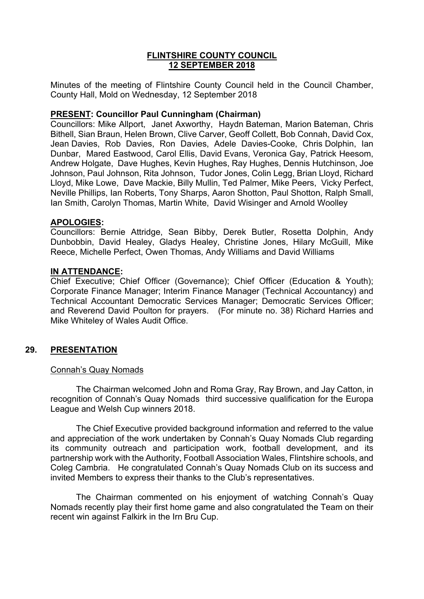# **FLINTSHIRE COUNTY COUNCIL 12 SEPTEMBER 2018**

Minutes of the meeting of Flintshire County Council held in the Council Chamber, County Hall, Mold on Wednesday, 12 September 2018

## **PRESENT: Councillor Paul Cunningham (Chairman)**

Councillors: Mike Allport, Janet Axworthy, Haydn Bateman, Marion Bateman, Chris Bithell, Sian Braun, Helen Brown, Clive Carver, Geoff Collett, Bob Connah, David Cox, Jean Davies, Rob Davies, Ron Davies, Adele Davies-Cooke, Chris Dolphin, Ian Dunbar, Mared Eastwood, Carol Ellis, David Evans, Veronica Gay, Patrick Heesom, Andrew Holgate, Dave Hughes, Kevin Hughes, Ray Hughes, Dennis Hutchinson, Joe Johnson, Paul Johnson, Rita Johnson, Tudor Jones, Colin Legg, Brian Lloyd, Richard Lloyd, Mike Lowe, Dave Mackie, Billy Mullin, Ted Palmer, Mike Peers, Vicky Perfect, Neville Phillips, Ian Roberts, Tony Sharps, Aaron Shotton, Paul Shotton, Ralph Small, Ian Smith, Carolyn Thomas, Martin White, David Wisinger and Arnold Woolley

### **APOLOGIES:**

Councillors: Bernie Attridge, Sean Bibby, Derek Butler, Rosetta Dolphin, Andy Dunbobbin, David Healey, Gladys Healey, Christine Jones, Hilary McGuill, Mike Reece, Michelle Perfect, Owen Thomas, Andy Williams and David Williams

### **IN ATTENDANCE:**

Chief Executive; Chief Officer (Governance); Chief Officer (Education & Youth); Corporate Finance Manager; Interim Finance Manager (Technical Accountancy) and Technical Accountant Democratic Services Manager; Democratic Services Officer; and Reverend David Poulton for prayers. (For minute no. 38) Richard Harries and Mike Whiteley of Wales Audit Office.

## **29. PRESENTATION**

#### Connah's Quay Nomads

The Chairman welcomed John and Roma Gray, Ray Brown, and Jay Catton, in recognition of Connah's Quay Nomads third successive qualification for the Europa League and Welsh Cup winners 2018.

The Chief Executive provided background information and referred to the value and appreciation of the work undertaken by Connah's Quay Nomads Club regarding its community outreach and participation work, football development, and its partnership work with the Authority, Football Association Wales, Flintshire schools, and Coleg Cambria. He congratulated Connah's Quay Nomads Club on its success and invited Members to express their thanks to the Club's representatives.

The Chairman commented on his enjoyment of watching Connah's Quay Nomads recently play their first home game and also congratulated the Team on their recent win against Falkirk in the Irn Bru Cup.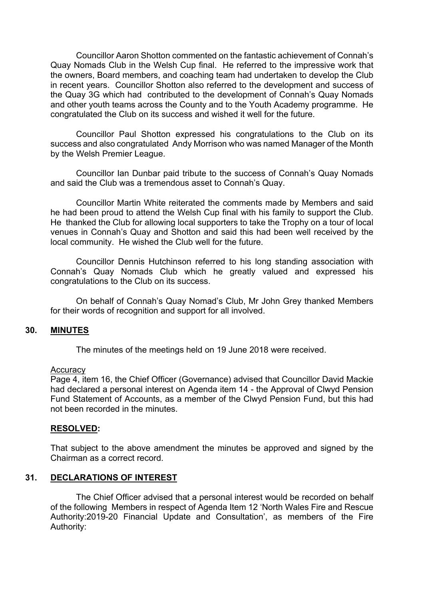Councillor Aaron Shotton commented on the fantastic achievement of Connah's Quay Nomads Club in the Welsh Cup final. He referred to the impressive work that the owners, Board members, and coaching team had undertaken to develop the Club in recent years. Councillor Shotton also referred to the development and success of the Quay 3G which had contributed to the development of Connah's Quay Nomads and other youth teams across the County and to the Youth Academy programme. He congratulated the Club on its success and wished it well for the future.

Councillor Paul Shotton expressed his congratulations to the Club on its success and also congratulated Andy Morrison who was named Manager of the Month by the Welsh Premier League.

Councillor Ian Dunbar paid tribute to the success of Connah's Quay Nomads and said the Club was a tremendous asset to Connah's Quay.

Councillor Martin White reiterated the comments made by Members and said he had been proud to attend the Welsh Cup final with his family to support the Club. He thanked the Club for allowing local supporters to take the Trophy on a tour of local venues in Connah's Quay and Shotton and said this had been well received by the local community. He wished the Club well for the future.

Councillor Dennis Hutchinson referred to his long standing association with Connah's Quay Nomads Club which he greatly valued and expressed his congratulations to the Club on its success.

On behalf of Connah's Quay Nomad's Club, Mr John Grey thanked Members for their words of recognition and support for all involved.

## **30. MINUTES**

The minutes of the meetings held on 19 June 2018 were received.

#### **Accuracy**

Page 4, item 16, the Chief Officer (Governance) advised that Councillor David Mackie had declared a personal interest on Agenda item 14 - the Approval of Clwyd Pension Fund Statement of Accounts, as a member of the Clwyd Pension Fund, but this had not been recorded in the minutes.

#### **RESOLVED:**

That subject to the above amendment the minutes be approved and signed by the Chairman as a correct record.

## **31. DECLARATIONS OF INTEREST**

The Chief Officer advised that a personal interest would be recorded on behalf of the following Members in respect of Agenda Item 12 'North Wales Fire and Rescue Authority:2019-20 Financial Update and Consultation', as members of the Fire Authority: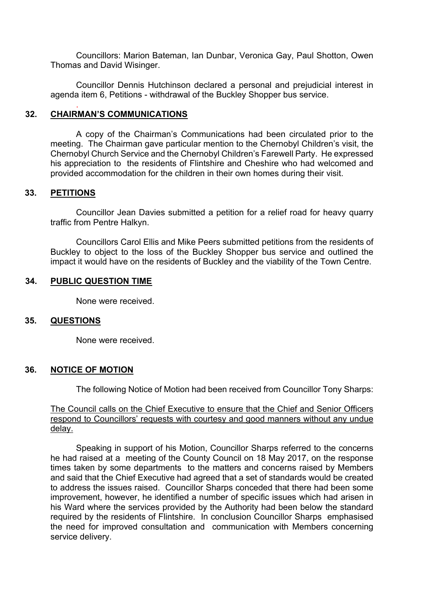Councillors: Marion Bateman, Ian Dunbar, Veronica Gay, Paul Shotton, Owen Thomas and David Wisinger.

Councillor Dennis Hutchinson declared a personal and prejudicial interest in agenda item 6, Petitions - withdrawal of the Buckley Shopper bus service.

### **32. CHAIRMAN'S COMMUNICATIONS**

.

A copy of the Chairman's Communications had been circulated prior to the meeting. The Chairman gave particular mention to the Chernobyl Children's visit, the Chernobyl Church Service and the Chernobyl Children's Farewell Party. He expressed his appreciation to the residents of Flintshire and Cheshire who had welcomed and provided accommodation for the children in their own homes during their visit.

#### **33. PETITIONS**

Councillor Jean Davies submitted a petition for a relief road for heavy quarry traffic from Pentre Halkyn.

Councillors Carol Ellis and Mike Peers submitted petitions from the residents of Buckley to object to the loss of the Buckley Shopper bus service and outlined the impact it would have on the residents of Buckley and the viability of the Town Centre.

#### **34. PUBLIC QUESTION TIME**

None were received.

#### **35. QUESTIONS**

None were received.

#### **36. NOTICE OF MOTION**

The following Notice of Motion had been received from Councillor Tony Sharps:

The Council calls on the Chief Executive to ensure that the Chief and Senior Officers respond to Councillors' requests with courtesy and good manners without any undue delay.

Speaking in support of his Motion, Councillor Sharps referred to the concerns he had raised at a meeting of the County Council on 18 May 2017, on the response times taken by some departments to the matters and concerns raised by Members and said that the Chief Executive had agreed that a set of standards would be created to address the issues raised. Councillor Sharps conceded that there had been some improvement, however, he identified a number of specific issues which had arisen in his Ward where the services provided by the Authority had been below the standard required by the residents of Flintshire. In conclusion Councillor Sharps emphasised the need for improved consultation and communication with Members concerning service delivery.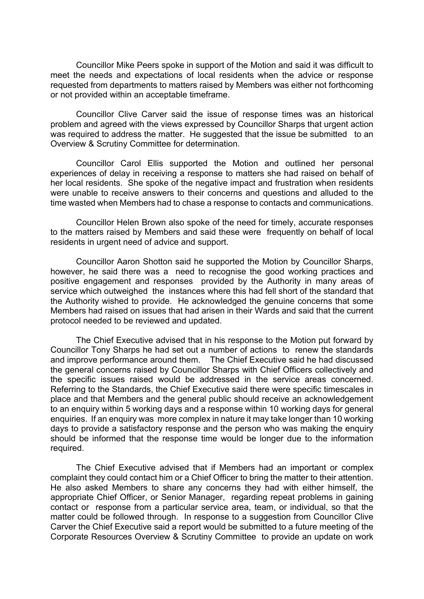Councillor Mike Peers spoke in support of the Motion and said it was difficult to meet the needs and expectations of local residents when the advice or response requested from departments to matters raised by Members was either not forthcoming or not provided within an acceptable timeframe.

Councillor Clive Carver said the issue of response times was an historical problem and agreed with the views expressed by Councillor Sharps that urgent action was required to address the matter. He suggested that the issue be submitted to an Overview & Scrutiny Committee for determination.

Councillor Carol Ellis supported the Motion and outlined her personal experiences of delay in receiving a response to matters she had raised on behalf of her local residents. She spoke of the negative impact and frustration when residents were unable to receive answers to their concerns and questions and alluded to the time wasted when Members had to chase a response to contacts and communications.

Councillor Helen Brown also spoke of the need for timely, accurate responses to the matters raised by Members and said these were frequently on behalf of local residents in urgent need of advice and support.

Councillor Aaron Shotton said he supported the Motion by Councillor Sharps, however, he said there was a need to recognise the good working practices and positive engagement and responses provided by the Authority in many areas of service which outweighed the instances where this had fell short of the standard that the Authority wished to provide. He acknowledged the genuine concerns that some Members had raised on issues that had arisen in their Wards and said that the current protocol needed to be reviewed and updated.

The Chief Executive advised that in his response to the Motion put forward by Councillor Tony Sharps he had set out a number of actions to renew the standards and improve performance around them. The Chief Executive said he had discussed the general concerns raised by Councillor Sharps with Chief Officers collectively and the specific issues raised would be addressed in the service areas concerned. Referring to the Standards, the Chief Executive said there were specific timescales in place and that Members and the general public should receive an acknowledgement to an enquiry within 5 working days and a response within 10 working days for general enquiries. If an enquiry was more complex in nature it may take longer than 10 working days to provide a satisfactory response and the person who was making the enquiry should be informed that the response time would be longer due to the information required.

The Chief Executive advised that if Members had an important or complex complaint they could contact him or a Chief Officer to bring the matter to their attention. He also asked Members to share any concerns they had with either himself, the appropriate Chief Officer, or Senior Manager, regarding repeat problems in gaining contact or response from a particular service area, team, or individual, so that the matter could be followed through. In response to a suggestion from Councillor Clive Carver the Chief Executive said a report would be submitted to a future meeting of the Corporate Resources Overview & Scrutiny Committee to provide an update on work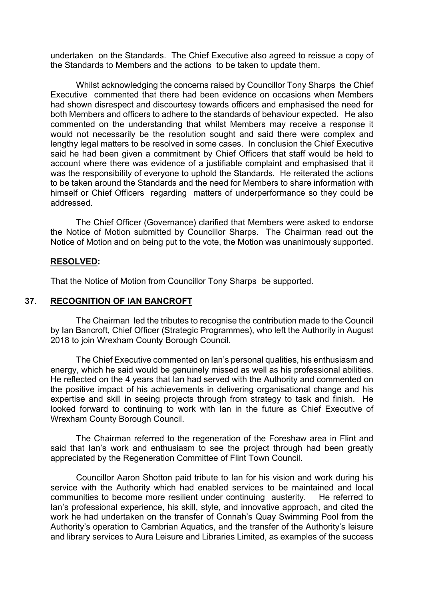undertaken on the Standards. The Chief Executive also agreed to reissue a copy of the Standards to Members and the actions to be taken to update them.

Whilst acknowledging the concerns raised by Councillor Tony Sharps the Chief Executive commented that there had been evidence on occasions when Members had shown disrespect and discourtesy towards officers and emphasised the need for both Members and officers to adhere to the standards of behaviour expected. He also commented on the understanding that whilst Members may receive a response it would not necessarily be the resolution sought and said there were complex and lengthy legal matters to be resolved in some cases. In conclusion the Chief Executive said he had been given a commitment by Chief Officers that staff would be held to account where there was evidence of a justifiable complaint and emphasised that it was the responsibility of everyone to uphold the Standards. He reiterated the actions to be taken around the Standards and the need for Members to share information with himself or Chief Officers regarding matters of underperformance so they could be addressed.

The Chief Officer (Governance) clarified that Members were asked to endorse the Notice of Motion submitted by Councillor Sharps. The Chairman read out the Notice of Motion and on being put to the vote, the Motion was unanimously supported.

#### **RESOLVED:**

That the Notice of Motion from Councillor Tony Sharps be supported.

## **37. RECOGNITION OF IAN BANCROFT**

The Chairman led the tributes to recognise the contribution made to the Council by Ian Bancroft, Chief Officer (Strategic Programmes), who left the Authority in August 2018 to join Wrexham County Borough Council.

The Chief Executive commented on Ian's personal qualities, his enthusiasm and energy, which he said would be genuinely missed as well as his professional abilities. He reflected on the 4 years that Ian had served with the Authority and commented on the positive impact of his achievements in delivering organisational change and his expertise and skill in seeing projects through from strategy to task and finish. He looked forward to continuing to work with Ian in the future as Chief Executive of Wrexham County Borough Council.

The Chairman referred to the regeneration of the Foreshaw area in Flint and said that Ian's work and enthusiasm to see the project through had been greatly appreciated by the Regeneration Committee of Flint Town Council.

Councillor Aaron Shotton paid tribute to Ian for his vision and work during his service with the Authority which had enabled services to be maintained and local communities to become more resilient under continuing austerity. He referred to Ian's professional experience, his skill, style, and innovative approach, and cited the work he had undertaken on the transfer of Connah's Quay Swimming Pool from the Authority's operation to Cambrian Aquatics, and the transfer of the Authority's leisure and library services to Aura Leisure and Libraries Limited, as examples of the success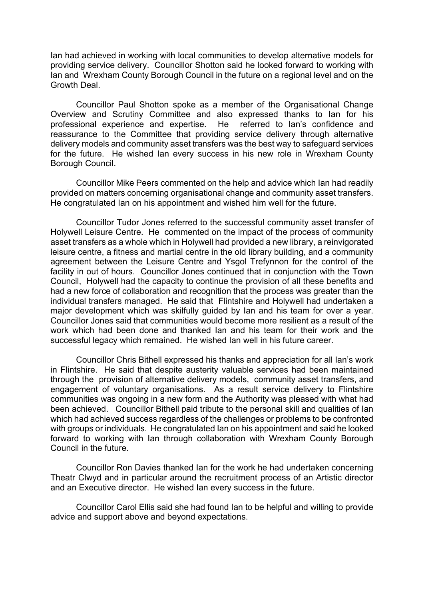Ian had achieved in working with local communities to develop alternative models for providing service delivery. Councillor Shotton said he looked forward to working with Ian and Wrexham County Borough Council in the future on a regional level and on the Growth Deal.

Councillor Paul Shotton spoke as a member of the Organisational Change Overview and Scrutiny Committee and also expressed thanks to Ian for his professional experience and expertise. He referred to Ian's confidence and reassurance to the Committee that providing service delivery through alternative delivery models and community asset transfers was the best way to safeguard services for the future. He wished Ian every success in his new role in Wrexham County Borough Council.

Councillor Mike Peers commented on the help and advice which Ian had readily provided on matters concerning organisational change and community asset transfers. He congratulated Ian on his appointment and wished him well for the future.

Councillor Tudor Jones referred to the successful community asset transfer of Holywell Leisure Centre. He commented on the impact of the process of community asset transfers as a whole which in Holywell had provided a new library, a reinvigorated leisure centre, a fitness and martial centre in the old library building, and a community agreement between the Leisure Centre and Ysgol Trefynnon for the control of the facility in out of hours. Councillor Jones continued that in conjunction with the Town Council, Holywell had the capacity to continue the provision of all these benefits and had a new force of collaboration and recognition that the process was greater than the individual transfers managed. He said that Flintshire and Holywell had undertaken a major development which was skilfully guided by Ian and his team for over a year. Councillor Jones said that communities would become more resilient as a result of the work which had been done and thanked Ian and his team for their work and the successful legacy which remained. He wished Ian well in his future career.

Councillor Chris Bithell expressed his thanks and appreciation for all Ian's work in Flintshire. He said that despite austerity valuable services had been maintained through the provision of alternative delivery models, community asset transfers, and engagement of voluntary organisations. As a result service delivery to Flintshire communities was ongoing in a new form and the Authority was pleased with what had been achieved. Councillor Bithell paid tribute to the personal skill and qualities of Ian which had achieved success regardless of the challenges or problems to be confronted with groups or individuals. He congratulated Ian on his appointment and said he looked forward to working with Ian through collaboration with Wrexham County Borough Council in the future.

Councillor Ron Davies thanked Ian for the work he had undertaken concerning Theatr Clwyd and in particular around the recruitment process of an Artistic director and an Executive director. He wished Ian every success in the future.

Councillor Carol Ellis said she had found Ian to be helpful and willing to provide advice and support above and beyond expectations.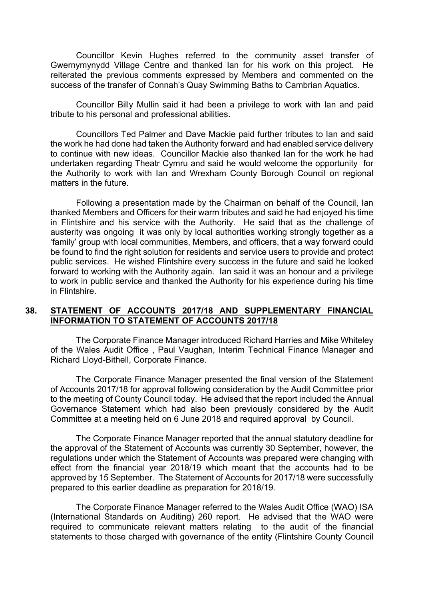Councillor Kevin Hughes referred to the community asset transfer of Gwernymynydd Village Centre and thanked Ian for his work on this project. He reiterated the previous comments expressed by Members and commented on the success of the transfer of Connah's Quay Swimming Baths to Cambrian Aquatics.

Councillor Billy Mullin said it had been a privilege to work with Ian and paid tribute to his personal and professional abilities.

Councillors Ted Palmer and Dave Mackie paid further tributes to Ian and said the work he had done had taken the Authority forward and had enabled service delivery to continue with new ideas. Councillor Mackie also thanked Ian for the work he had undertaken regarding Theatr Cymru and said he would welcome the opportunity for the Authority to work with Ian and Wrexham County Borough Council on regional matters in the future.

Following a presentation made by the Chairman on behalf of the Council, Ian thanked Members and Officers for their warm tributes and said he had enjoyed his time in Flintshire and his service with the Authority. He said that as the challenge of austerity was ongoing it was only by local authorities working strongly together as a 'family' group with local communities, Members, and officers, that a way forward could be found to find the right solution for residents and service users to provide and protect public services. He wished Flintshire every success in the future and said he looked forward to working with the Authority again. Ian said it was an honour and a privilege to work in public service and thanked the Authority for his experience during his time in Flintshire.

### **38. STATEMENT OF ACCOUNTS 2017/18 AND SUPPLEMENTARY FINANCIAL INFORMATION TO STATEMENT OF ACCOUNTS 2017/18**

The Corporate Finance Manager introduced Richard Harries and Mike Whiteley of the Wales Audit Office , Paul Vaughan, Interim Technical Finance Manager and Richard Lloyd-Bithell, Corporate Finance.

The Corporate Finance Manager presented the final version of the Statement of Accounts 2017/18 for approval following consideration by the Audit Committee prior to the meeting of County Council today. He advised that the report included the Annual Governance Statement which had also been previously considered by the Audit Committee at a meeting held on 6 June 2018 and required approval by Council.

The Corporate Finance Manager reported that the annual statutory deadline for the approval of the Statement of Accounts was currently 30 September, however, the regulations under which the Statement of Accounts was prepared were changing with effect from the financial year 2018/19 which meant that the accounts had to be approved by 15 September. The Statement of Accounts for 2017/18 were successfully prepared to this earlier deadline as preparation for 2018/19.

The Corporate Finance Manager referred to the Wales Audit Office (WAO) ISA (International Standards on Auditing) 260 report. He advised that the WAO were required to communicate relevant matters relating to the audit of the financial statements to those charged with governance of the entity (Flintshire County Council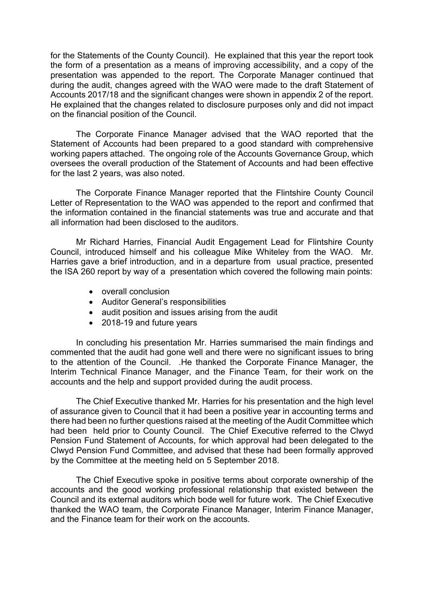for the Statements of the County Council). He explained that this year the report took the form of a presentation as a means of improving accessibility, and a copy of the presentation was appended to the report. The Corporate Manager continued that during the audit, changes agreed with the WAO were made to the draft Statement of Accounts 2017/18 and the significant changes were shown in appendix 2 of the report. He explained that the changes related to disclosure purposes only and did not impact on the financial position of the Council.

The Corporate Finance Manager advised that the WAO reported that the Statement of Accounts had been prepared to a good standard with comprehensive working papers attached. The ongoing role of the Accounts Governance Group, which oversees the overall production of the Statement of Accounts and had been effective for the last 2 years, was also noted.

The Corporate Finance Manager reported that the Flintshire County Council Letter of Representation to the WAO was appended to the report and confirmed that the information contained in the financial statements was true and accurate and that all information had been disclosed to the auditors.

Mr Richard Harries, Financial Audit Engagement Lead for Flintshire County Council, introduced himself and his colleague Mike Whiteley from the WAO. Mr. Harries gave a brief introduction, and in a departure from usual practice, presented the ISA 260 report by way of a presentation which covered the following main points:

- overall conclusion
- Auditor General's responsibilities
- audit position and issues arising from the audit
- 2018-19 and future years

In concluding his presentation Mr. Harries summarised the main findings and commented that the audit had gone well and there were no significant issues to bring to the attention of the Council. .He thanked the Corporate Finance Manager, the Interim Technical Finance Manager, and the Finance Team, for their work on the accounts and the help and support provided during the audit process.

The Chief Executive thanked Mr. Harries for his presentation and the high level of assurance given to Council that it had been a positive year in accounting terms and there had been no further questions raised at the meeting of the Audit Committee which had been held prior to County Council. The Chief Executive referred to the Clwyd Pension Fund Statement of Accounts, for which approval had been delegated to the Clwyd Pension Fund Committee, and advised that these had been formally approved by the Committee at the meeting held on 5 September 2018.

The Chief Executive spoke in positive terms about corporate ownership of the accounts and the good working professional relationship that existed between the Council and its external auditors which bode well for future work. The Chief Executive thanked the WAO team, the Corporate Finance Manager, Interim Finance Manager, and the Finance team for their work on the accounts.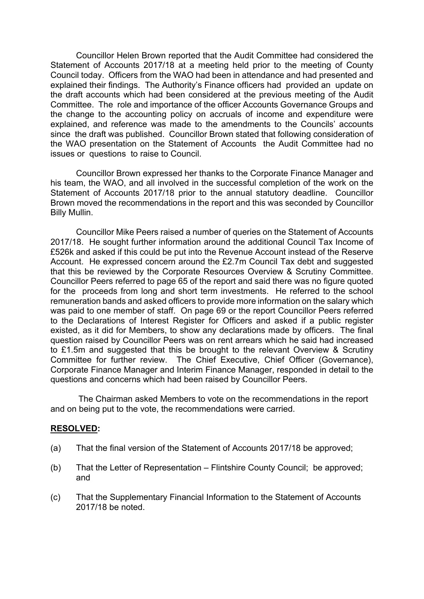Councillor Helen Brown reported that the Audit Committee had considered the Statement of Accounts 2017/18 at a meeting held prior to the meeting of County Council today. Officers from the WAO had been in attendance and had presented and explained their findings. The Authority's Finance officers had provided an update on the draft accounts which had been considered at the previous meeting of the Audit Committee. The role and importance of the officer Accounts Governance Groups and the change to the accounting policy on accruals of income and expenditure were explained, and reference was made to the amendments to the Councils' accounts since the draft was published. Councillor Brown stated that following consideration of the WAO presentation on the Statement of Accounts the Audit Committee had no issues or questions to raise to Council.

Councillor Brown expressed her thanks to the Corporate Finance Manager and his team, the WAO, and all involved in the successful completion of the work on the Statement of Accounts 2017/18 prior to the annual statutory deadline. Councillor Brown moved the recommendations in the report and this was seconded by Councillor Billy Mullin.

Councillor Mike Peers raised a number of queries on the Statement of Accounts 2017/18. He sought further information around the additional Council Tax Income of £526k and asked if this could be put into the Revenue Account instead of the Reserve Account. He expressed concern around the £2.7m Council Tax debt and suggested that this be reviewed by the Corporate Resources Overview & Scrutiny Committee. Councillor Peers referred to page 65 of the report and said there was no figure quoted for the proceeds from long and short term investments. He referred to the school remuneration bands and asked officers to provide more information on the salary which was paid to one member of staff. On page 69 or the report Councillor Peers referred to the Declarations of Interest Register for Officers and asked if a public register existed, as it did for Members, to show any declarations made by officers. The final question raised by Councillor Peers was on rent arrears which he said had increased to £1.5m and suggested that this be brought to the relevant Overview & Scrutiny Committee for further review. The Chief Executive, Chief Officer (Governance), Corporate Finance Manager and Interim Finance Manager, responded in detail to the questions and concerns which had been raised by Councillor Peers.

The Chairman asked Members to vote on the recommendations in the report and on being put to the vote, the recommendations were carried.

#### **RESOLVED:**

- (a) That the final version of the Statement of Accounts 2017/18 be approved;
- (b) That the Letter of Representation Flintshire County Council; be approved; and
- (c) That the Supplementary Financial Information to the Statement of Accounts 2017/18 be noted.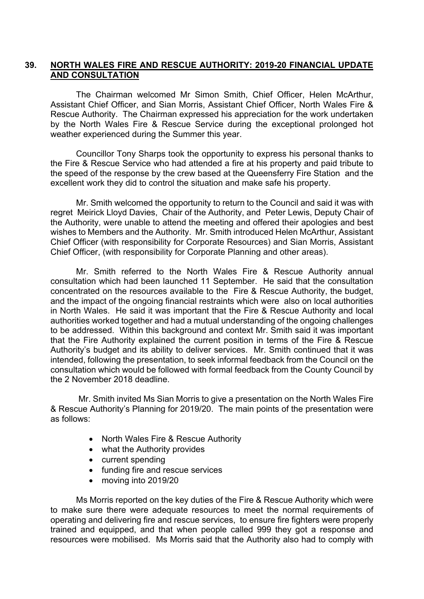# **39. NORTH WALES FIRE AND RESCUE AUTHORITY: 2019-20 FINANCIAL UPDATE AND CONSULTATION**

The Chairman welcomed Mr Simon Smith, Chief Officer, Helen McArthur, Assistant Chief Officer, and Sian Morris, Assistant Chief Officer, North Wales Fire & Rescue Authority. The Chairman expressed his appreciation for the work undertaken by the North Wales Fire & Rescue Service during the exceptional prolonged hot weather experienced during the Summer this year.

Councillor Tony Sharps took the opportunity to express his personal thanks to the Fire & Rescue Service who had attended a fire at his property and paid tribute to the speed of the response by the crew based at the Queensferry Fire Station and the excellent work they did to control the situation and make safe his property.

Mr. Smith welcomed the opportunity to return to the Council and said it was with regret Meirick Lloyd Davies, Chair of the Authority, and Peter Lewis, Deputy Chair of the Authority, were unable to attend the meeting and offered their apologies and best wishes to Members and the Authority. Mr. Smith introduced Helen McArthur, Assistant Chief Officer (with responsibility for Corporate Resources) and Sian Morris, Assistant Chief Officer, (with responsibility for Corporate Planning and other areas).

Mr. Smith referred to the North Wales Fire & Rescue Authority annual consultation which had been launched 11 September. He said that the consultation concentrated on the resources available to the Fire & Rescue Authority, the budget, and the impact of the ongoing financial restraints which were also on local authorities in North Wales. He said it was important that the Fire & Rescue Authority and local authorities worked together and had a mutual understanding of the ongoing challenges to be addressed. Within this background and context Mr. Smith said it was important that the Fire Authority explained the current position in terms of the Fire & Rescue Authority's budget and its ability to deliver services. Mr. Smith continued that it was intended, following the presentation, to seek informal feedback from the Council on the consultation which would be followed with formal feedback from the County Council by the 2 November 2018 deadline.

Mr. Smith invited Ms Sian Morris to give a presentation on the North Wales Fire & Rescue Authority's Planning for 2019/20. The main points of the presentation were as follows:

- North Wales Fire & Rescue Authority
- what the Authority provides
- current spending
- funding fire and rescue services
- moving into 2019/20

Ms Morris reported on the key duties of the Fire & Rescue Authority which were to make sure there were adequate resources to meet the normal requirements of operating and delivering fire and rescue services, to ensure fire fighters were properly trained and equipped, and that when people called 999 they got a response and resources were mobilised. Ms Morris said that the Authority also had to comply with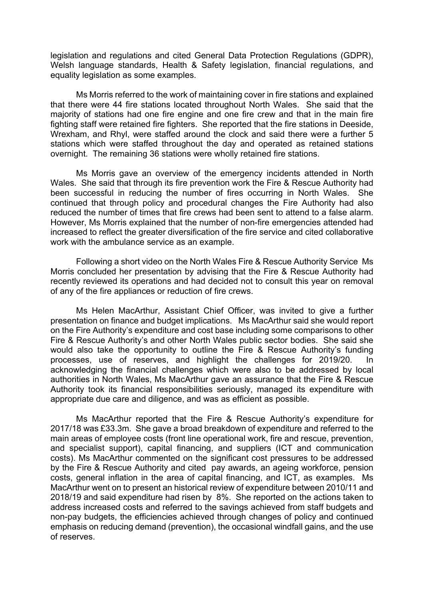legislation and regulations and cited General Data Protection Regulations (GDPR), Welsh language standards, Health & Safety legislation, financial regulations, and equality legislation as some examples.

Ms Morris referred to the work of maintaining cover in fire stations and explained that there were 44 fire stations located throughout North Wales. She said that the majority of stations had one fire engine and one fire crew and that in the main fire fighting staff were retained fire fighters. She reported that the fire stations in Deeside, Wrexham, and Rhyl, were staffed around the clock and said there were a further 5 stations which were staffed throughout the day and operated as retained stations overnight. The remaining 36 stations were wholly retained fire stations.

Ms Morris gave an overview of the emergency incidents attended in North Wales. She said that through its fire prevention work the Fire & Rescue Authority had been successful in reducing the number of fires occurring in North Wales. She continued that through policy and procedural changes the Fire Authority had also reduced the number of times that fire crews had been sent to attend to a false alarm. However, Ms Morris explained that the number of non-fire emergencies attended had increased to reflect the greater diversification of the fire service and cited collaborative work with the ambulance service as an example.

Following a short video on the North Wales Fire & Rescue Authority Service Ms Morris concluded her presentation by advising that the Fire & Rescue Authority had recently reviewed its operations and had decided not to consult this year on removal of any of the fire appliances or reduction of fire crews.

Ms Helen MacArthur, Assistant Chief Officer, was invited to give a further presentation on finance and budget implications. Ms MacArthur said she would report on the Fire Authority's expenditure and cost base including some comparisons to other Fire & Rescue Authority's and other North Wales public sector bodies. She said she would also take the opportunity to outline the Fire & Rescue Authority's funding processes, use of reserves, and highlight the challenges for 2019/20. In acknowledging the financial challenges which were also to be addressed by local authorities in North Wales, Ms MacArthur gave an assurance that the Fire & Rescue Authority took its financial responsibilities seriously, managed its expenditure with appropriate due care and diligence, and was as efficient as possible.

Ms MacArthur reported that the Fire & Rescue Authority's expenditure for 2017/18 was £33.3m. She gave a broad breakdown of expenditure and referred to the main areas of employee costs (front line operational work, fire and rescue, prevention, and specialist support), capital financing, and suppliers (ICT and communication costs). Ms MacArthur commented on the significant cost pressures to be addressed by the Fire & Rescue Authority and cited pay awards, an ageing workforce, pension costs, general inflation in the area of capital financing, and ICT, as examples. Ms MacArthur went on to present an historical review of expenditure between 2010/11 and 2018/19 and said expenditure had risen by 8%. She reported on the actions taken to address increased costs and referred to the savings achieved from staff budgets and non-pay budgets, the efficiencies achieved through changes of policy and continued emphasis on reducing demand (prevention), the occasional windfall gains, and the use of reserves.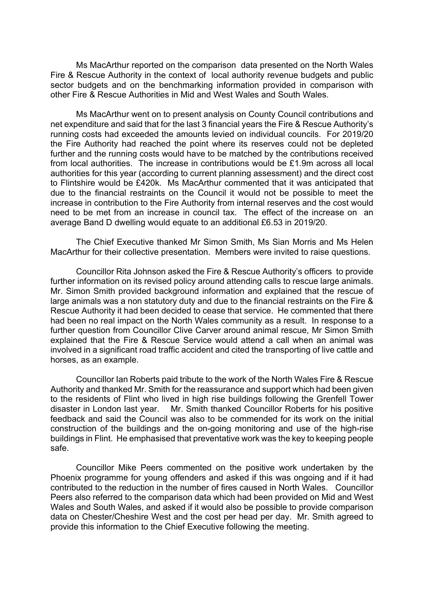Ms MacArthur reported on the comparison data presented on the North Wales Fire & Rescue Authority in the context of local authority revenue budgets and public sector budgets and on the benchmarking information provided in comparison with other Fire & Rescue Authorities in Mid and West Wales and South Wales.

Ms MacArthur went on to present analysis on County Council contributions and net expenditure and said that for the last 3 financial years the Fire & Rescue Authority's running costs had exceeded the amounts levied on individual councils. For 2019/20 the Fire Authority had reached the point where its reserves could not be depleted further and the running costs would have to be matched by the contributions received from local authorities. The increase in contributions would be £1.9m across all local authorities for this year (according to current planning assessment) and the direct cost to Flintshire would be £420k. Ms MacArthur commented that it was anticipated that due to the financial restraints on the Council it would not be possible to meet the increase in contribution to the Fire Authority from internal reserves and the cost would need to be met from an increase in council tax. The effect of the increase on an average Band D dwelling would equate to an additional £6.53 in 2019/20.

The Chief Executive thanked Mr Simon Smith, Ms Sian Morris and Ms Helen MacArthur for their collective presentation. Members were invited to raise questions.

Councillor Rita Johnson asked the Fire & Rescue Authority's officers to provide further information on its revised policy around attending calls to rescue large animals. Mr. Simon Smith provided background information and explained that the rescue of large animals was a non statutory duty and due to the financial restraints on the Fire & Rescue Authority it had been decided to cease that service. He commented that there had been no real impact on the North Wales community as a result. In response to a further question from Councillor Clive Carver around animal rescue, Mr Simon Smith explained that the Fire & Rescue Service would attend a call when an animal was involved in a significant road traffic accident and cited the transporting of live cattle and horses, as an example.

Councillor Ian Roberts paid tribute to the work of the North Wales Fire & Rescue Authority and thanked Mr. Smith for the reassurance and support which had been given to the residents of Flint who lived in high rise buildings following the Grenfell Tower disaster in London last year. Mr. Smith thanked Councillor Roberts for his positive feedback and said the Council was also to be commended for its work on the initial construction of the buildings and the on-going monitoring and use of the high-rise buildings in Flint. He emphasised that preventative work was the key to keeping people safe.

Councillor Mike Peers commented on the positive work undertaken by the Phoenix programme for young offenders and asked if this was ongoing and if it had contributed to the reduction in the number of fires caused in North Wales. Councillor Peers also referred to the comparison data which had been provided on Mid and West Wales and South Wales, and asked if it would also be possible to provide comparison data on Chester/Cheshire West and the cost per head per day. Mr. Smith agreed to provide this information to the Chief Executive following the meeting.